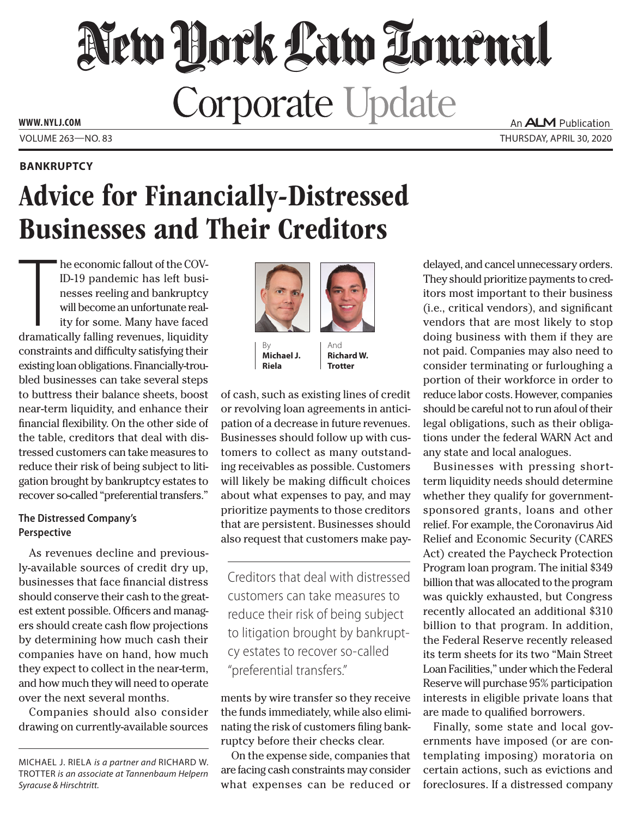# New York Law Lournal **Corporate Update www. NYLJ.com**

**Bankruptcy**

An **ALM** Publication Volume 263—NO. 83 Thursday, April 30, 2020

## Advice for Financially-Distressed Businesses and Their Creditors

he economic fallout of the COV-<br>ID-19 pandemic has left busi-<br>nesses reeling and bankruptcy<br>will become an unfortunate real-<br>ity for some. Many have faced<br>dramatically falling revenues, liquidity he economic fallout of the COV-ID-19 pandemic has left businesses reeling and bankruptcy will become an unfortunate reality for some. Many have faced constraints and difficulty satisfying their existing loan obligations. Financially-troubled businesses can take several steps to buttress their balance sheets, boost near-term liquidity, and enhance their financial flexibility. On the other side of the table, creditors that deal with distressed customers can take measures to reduce their risk of being subject to litigation brought by bankruptcy estates to recover so-called "preferential transfers."

### **The Distressed Company's Perspective**

As revenues decline and previously-available sources of credit dry up, businesses that face financial distress should conserve their cash to the greatest extent possible. Officers and managers should create cash flow projections by determining how much cash their companies have on hand, how much they expect to collect in the near-term, and how much they will need to operate over the next several months.

Companies should also consider drawing on currently-available sources





By **Michael J. Riela**

And **Richard W. Trotter**

of cash, such as existing lines of credit or revolving loan agreements in anticipation of a decrease in future revenues. Businesses should follow up with customers to collect as many outstanding receivables as possible. Customers will likely be making difficult choices about what expenses to pay, and may prioritize payments to those creditors that are persistent. Businesses should also request that customers make pay-

Creditors that deal with distressed customers can take measures to reduce their risk of being subject to litigation brought by bankruptcy estates to recover so-called "preferential transfers."

ments by wire transfer so they receive the funds immediately, while also eliminating the risk of customers filing bankruptcy before their checks clear.

On the expense side, companies that are facing cash constraints may consider what expenses can be reduced or delayed, and cancel unnecessary orders. They should prioritize payments to creditors most important to their business (i.e., critical vendors), and significant vendors that are most likely to stop doing business with them if they are not paid. Companies may also need to consider terminating or furloughing a portion of their workforce in order to reduce labor costs. However, companies should be careful not to run afoul of their legal obligations, such as their obligations under the federal WARN Act and any state and local analogues.

Businesses with pressing shortterm liquidity needs should determine whether they qualify for governmentsponsored grants, loans and other relief. For example, the Coronavirus Aid Relief and Economic Security (CARES Act) created the Paycheck Protection Program loan program. The initial \$349 billion that was allocated to the program was quickly exhausted, but Congress recently allocated an additional \$310 billion to that program. In addition, the Federal Reserve recently released its term sheets for its two "Main Street Loan Facilities," under which the Federal Reserve will purchase 95% participation interests in eligible private loans that are made to qualified borrowers.

Finally, some state and local governments have imposed (or are contemplating imposing) moratoria on certain actions, such as evictions and foreclosures. If a distressed company

Michael J. Riela *is a partner and* Richard W. Trotter *is an associate at Tannenbaum Helpern Syracuse & Hirschtritt.*